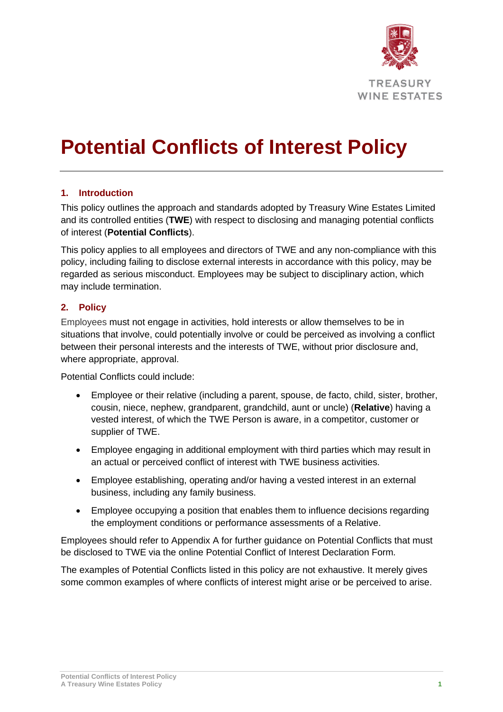

# **Potential Conflicts of Interest Policy**

#### **1. Introduction**

This policy outlines the approach and standards adopted by Treasury Wine Estates Limited and its controlled entities (**TWE**) with respect to disclosing and managing potential conflicts of interest (**Potential Conflicts**).

This policy applies to all employees and directors of TWE and any non-compliance with this policy, including failing to disclose external interests in accordance with this policy, may be regarded as serious misconduct. Employees may be subject to disciplinary action, which may include termination.

#### **2. Policy**

Employees must not engage in activities, hold interests or allow themselves to be in situations that involve, could potentially involve or could be perceived as involving a conflict between their personal interests and the interests of TWE, without prior disclosure and, where appropriate, approval.

Potential Conflicts could include:

- Employee or their relative (including a parent, spouse, de facto, child, sister, brother, cousin, niece, nephew, grandparent, grandchild, aunt or uncle) (**Relative**) having a vested interest, of which the TWE Person is aware, in a competitor, customer or supplier of TWE.
- Employee engaging in additional employment with third parties which may result in an actual or perceived conflict of interest with TWE business activities.
- Employee establishing, operating and/or having a vested interest in an external business, including any family business.
- Employee occupying a position that enables them to influence decisions regarding the employment conditions or performance assessments of a Relative.

Employees should refer to Appendix A for further guidance on Potential Conflicts that must be disclosed to TWE via the online Potential Conflict of Interest Declaration Form*.*

The examples of Potential Conflicts listed in this policy are not exhaustive. It merely gives some common examples of where conflicts of interest might arise or be perceived to arise.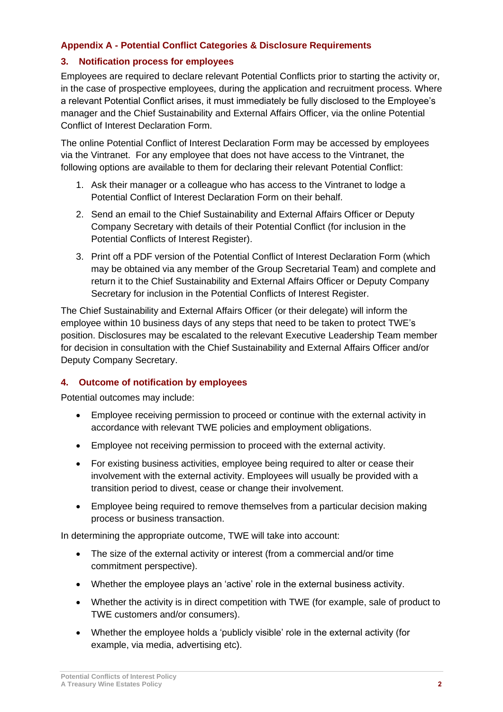#### **Appendix A - Potential Conflict Categories & Disclosure Requirements**

#### **3. Notification process for employees**

Employees are required to declare relevant Potential Conflicts prior to starting the activity or, in the case of prospective employees, during the application and recruitment process. Where a relevant Potential Conflict arises, it must immediately be fully disclosed to the Employee's manager and the Chief Sustainability and External Affairs Officer, via the online Potential Conflict of Interest Declaration Form.

The online Potential Conflict of Interest Declaration Form may be accessed by employees via the Vintranet. For any employee that does not have access to the Vintranet, the following options are available to them for declaring their relevant Potential Conflict:

- 1. Ask their manager or a colleague who has access to the Vintranet to lodge a Potential Conflict of Interest Declaration Form on their behalf.
- 2. Send an email to the Chief Sustainability and External Affairs Officer or Deputy Company Secretary with details of their Potential Conflict (for inclusion in the Potential Conflicts of Interest Register).
- 3. Print off a PDF version of the Potential Conflict of Interest Declaration Form (which may be obtained via any member of the Group Secretarial Team) and complete and return it to the Chief Sustainability and External Affairs Officer or Deputy Company Secretary for inclusion in the Potential Conflicts of Interest Register.

The Chief Sustainability and External Affairs Officer (or their delegate) will inform the employee within 10 business days of any steps that need to be taken to protect TWE's position. Disclosures may be escalated to the relevant Executive Leadership Team member for decision in consultation with the Chief Sustainability and External Affairs Officer and/or Deputy Company Secretary.

#### **4. Outcome of notification by employees**

Potential outcomes may include:

- Employee receiving permission to proceed or continue with the external activity in accordance with relevant TWE policies and employment obligations.
- Employee not receiving permission to proceed with the external activity.
- For existing business activities, employee being required to alter or cease their involvement with the external activity. Employees will usually be provided with a transition period to divest, cease or change their involvement.
- Employee being required to remove themselves from a particular decision making process or business transaction.

In determining the appropriate outcome, TWE will take into account:

- The size of the external activity or interest (from a commercial and/or time commitment perspective).
- Whether the employee plays an 'active' role in the external business activity.
- Whether the activity is in direct competition with TWE (for example, sale of product to TWE customers and/or consumers).
- Whether the employee holds a 'publicly visible' role in the external activity (for example, via media, advertising etc).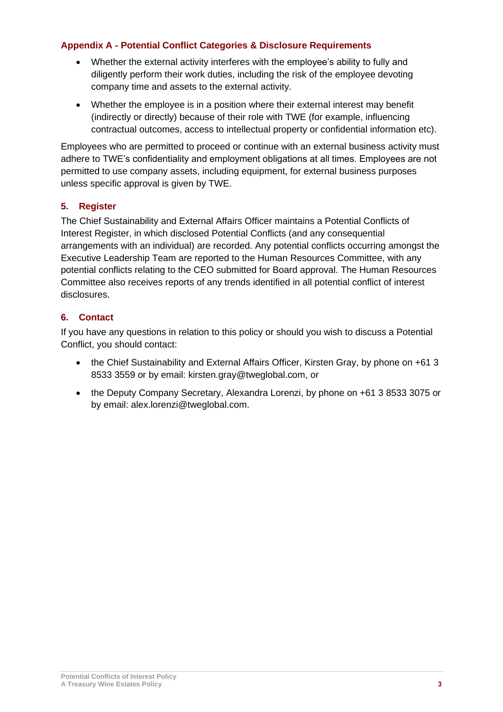## **Appendix A - Potential Conflict Categories & Disclosure Requirements**

- Whether the external activity interferes with the employee's ability to fully and diligently perform their work duties, including the risk of the employee devoting company time and assets to the external activity.
- Whether the employee is in a position where their external interest may benefit (indirectly or directly) because of their role with TWE (for example, influencing contractual outcomes, access to intellectual property or confidential information etc).

Employees who are permitted to proceed or continue with an external business activity must adhere to TWE's confidentiality and employment obligations at all times. Employees are not permitted to use company assets, including equipment, for external business purposes unless specific approval is given by TWE.

## **5. Register**

The Chief Sustainability and External Affairs Officer maintains a Potential Conflicts of Interest Register, in which disclosed Potential Conflicts (and any consequential arrangements with an individual) are recorded. Any potential conflicts occurring amongst the Executive Leadership Team are reported to the Human Resources Committee, with any potential conflicts relating to the CEO submitted for Board approval. The Human Resources Committee also receives reports of any trends identified in all potential conflict of interest disclosures.

## **6. Contact**

If you have any questions in relation to this policy or should you wish to discuss a Potential Conflict, you should contact:

- the Chief Sustainability and External Affairs Officer, Kirsten Gray, by phone on +61 3 8533 3559 or by email: [kirsten.gray@tweglobal.com,](mailto:kirsten.gray@tweglobal.com) or
- the Deputy Company Secretary, Alexandra Lorenzi, by phone on +61 3 8533 3075 or by email: [alex.lorenzi@tweglobal.com.](mailto:alex.lorenzi@tweglobal.com)